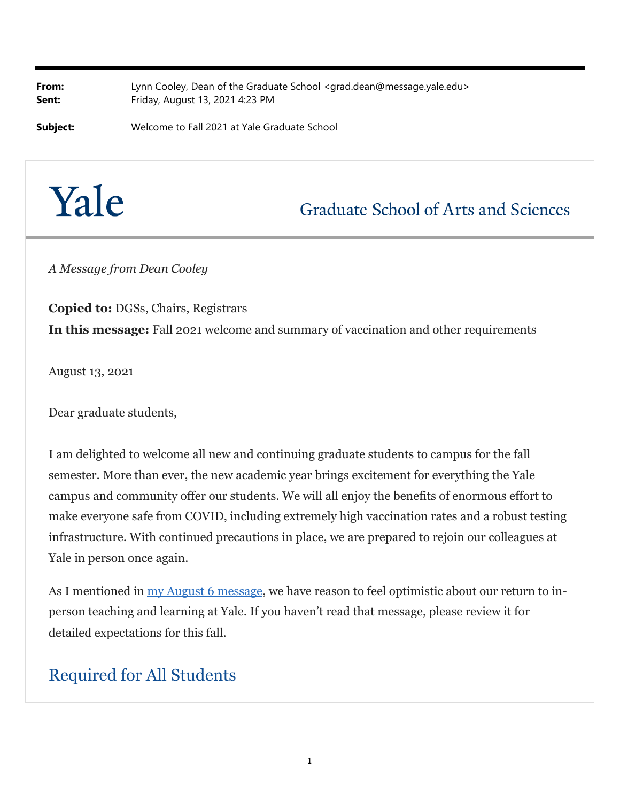**From:** Lynn Cooley, Dean of the Graduate School <grad.dean@message.yale.edu> **Sent:** Friday, August 13, 2021 4:23 PM

**Subject:** Welcome to Fall 2021 at Yale Graduate School



# **Graduate School of Arts and Sciences**

*A Message from Dean Cooley*

**Copied to:** DGSs, Chairs, Registrars **In this message:** Fall 2021 welcome and summary of vaccination and other requirements

August 13, 2021

Dear graduate students,

I am delighted to welcome all new and continuing graduate students to campus for the fall semester. More than ever, the new academic year brings excitement for everything the Yale campus and community offer our students. We will all enjoy the benefits of enormous effort to make everyone safe from COVID, including extremely high vaccination rates and a robust testing infrastructure. With continued precautions in place, we are prepared to rejoin our colleagues at Yale in person once again.

As I mentioned in <u>my August 6 message</u>, we have reason to feel optimistic about our return to inperson teaching and learning at Yale. If you haven't read that message, please review it for detailed expectations for this fall.

#### Required for All Students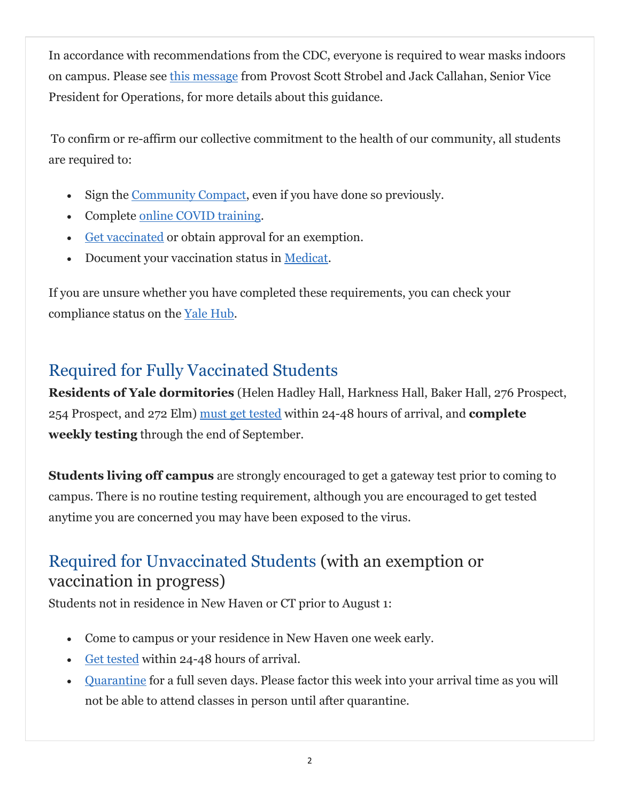In accordance with recommendations from the CDC, everyone is required to wear masks indoors on campus. Please see this message from Provost Scott Strobel and Jack Callahan, Senior Vice President for Operations, for more details about this guidance.

To confirm or re-affirm our collective commitment to the health of our community, all students are required to:

- Sign the Community Compact, even if you have done so previously.
- Complete online COVID training.
- Get vaccinated or obtain approval for an exemption.
- Document your vaccination status in Medicat.

If you are unsure whether you have completed these requirements, you can check your compliance status on the Yale Hub.

# Required for Fully Vaccinated Students

**Residents of Yale dormitories** (Helen Hadley Hall, Harkness Hall, Baker Hall, 276 Prospect, 254 Prospect, and 272 Elm) must get tested within 24-48 hours of arrival, and **complete weekly testing** through the end of September.

**Students living off campus** are strongly encouraged to get a gateway test prior to coming to campus. There is no routine testing requirement, although you are encouraged to get tested anytime you are concerned you may have been exposed to the virus.

#### Required for Unvaccinated Students (with an exemption or vaccination in progress)

Students not in residence in New Haven or CT prior to August 1:

- Come to campus or your residence in New Haven one week early.
- Get tested within 24-48 hours of arrival.
- Quarantine for a full seven days. Please factor this week into your arrival time as you will not be able to attend classes in person until after quarantine.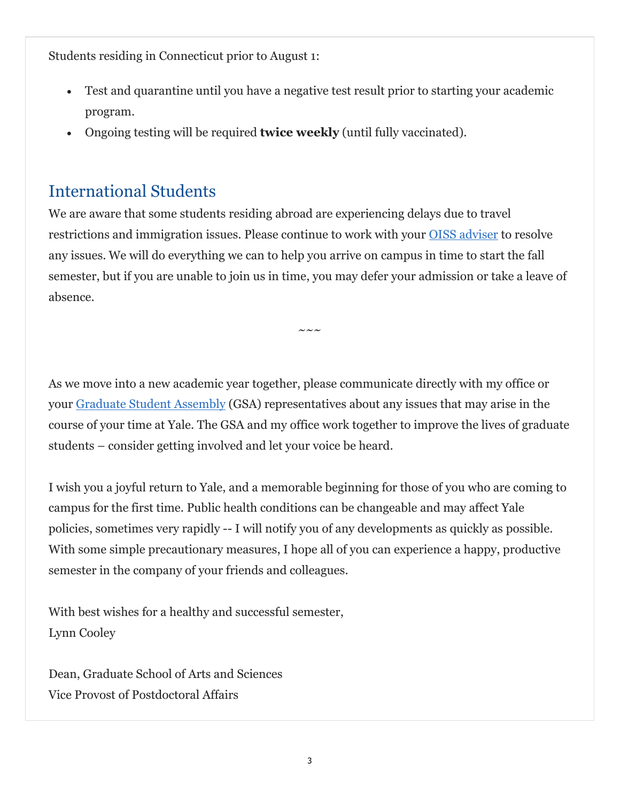Students residing in Connecticut prior to August 1:

- Test and quarantine until you have a negative test result prior to starting your academic program.
- Ongoing testing will be required **twice weekly** (until fully vaccinated).

## International Students

We are aware that some students residing abroad are experiencing delays due to travel restrictions and immigration issues. Please continue to work with your OISS adviser to resolve any issues. We will do everything we can to help you arrive on campus in time to start the fall semester, but if you are unable to join us in time, you may defer your admission or take a leave of absence.

 $\sim\,\sim\,\sim$ 

As we move into a new academic year together, please communicate directly with my office or your Graduate Student Assembly (GSA) representatives about any issues that may arise in the course of your time at Yale. The GSA and my office work together to improve the lives of graduate students – consider getting involved and let your voice be heard.

I wish you a joyful return to Yale, and a memorable beginning for those of you who are coming to campus for the first time. Public health conditions can be changeable and may affect Yale policies, sometimes very rapidly -- I will notify you of any developments as quickly as possible. With some simple precautionary measures, I hope all of you can experience a happy, productive semester in the company of your friends and colleagues.

With best wishes for a healthy and successful semester, Lynn Cooley

Dean, Graduate School of Arts and Sciences Vice Provost of Postdoctoral Affairs